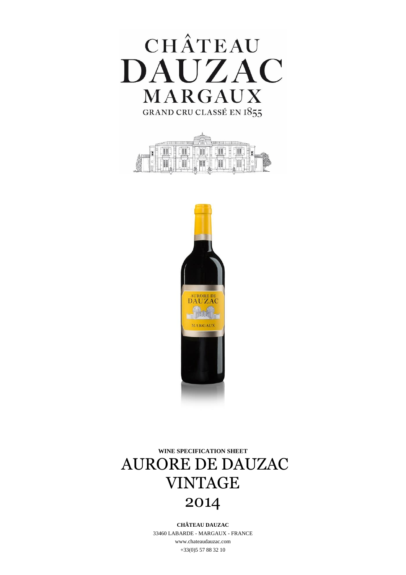





**WINE SPECIFICATION SHEET** AURORE DE DAUZAC VINTAGE 2014

> **CHÂTEAU DAUZAC** 33460 LABARDE - MARGAUX - FRANCE www.chateaudauzac.com +33(0)5 57 88 32 10